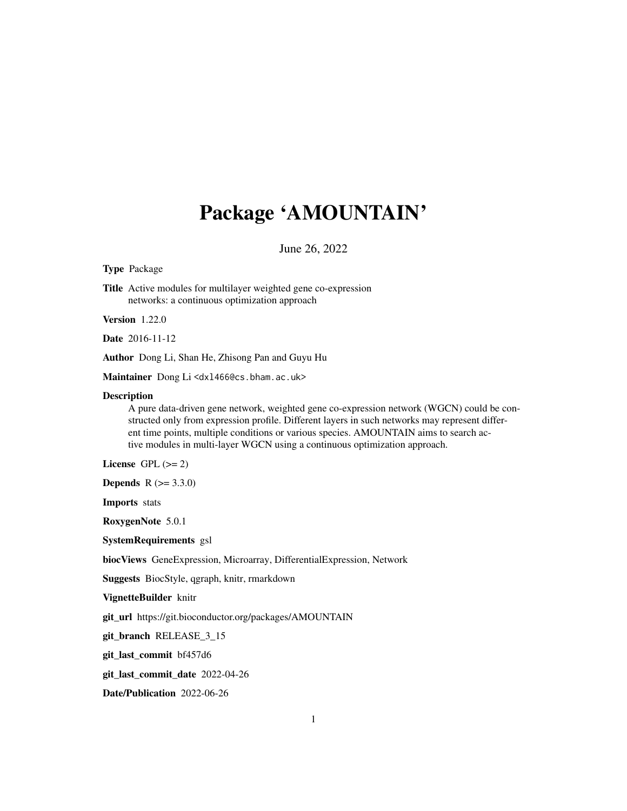## Package 'AMOUNTAIN'

June 26, 2022

#### Type Package

Title Active modules for multilayer weighted gene co-expression networks: a continuous optimization approach

Version 1.22.0

Date 2016-11-12

Author Dong Li, Shan He, Zhisong Pan and Guyu Hu

Maintainer Dong Li <dx1466@cs.bham.ac.uk>

#### Description

A pure data-driven gene network, weighted gene co-expression network (WGCN) could be constructed only from expression profile. Different layers in such networks may represent different time points, multiple conditions or various species. AMOUNTAIN aims to search active modules in multi-layer WGCN using a continuous optimization approach.

License GPL  $(>= 2)$ 

**Depends**  $R (= 3.3.0)$ 

Imports stats

RoxygenNote 5.0.1

SystemRequirements gsl

biocViews GeneExpression, Microarray, DifferentialExpression, Network

Suggests BiocStyle, qgraph, knitr, rmarkdown

VignetteBuilder knitr

git\_url https://git.bioconductor.org/packages/AMOUNTAIN

git\_branch RELEASE\_3\_15

git\_last\_commit bf457d6

git\_last\_commit\_date 2022-04-26

Date/Publication 2022-06-26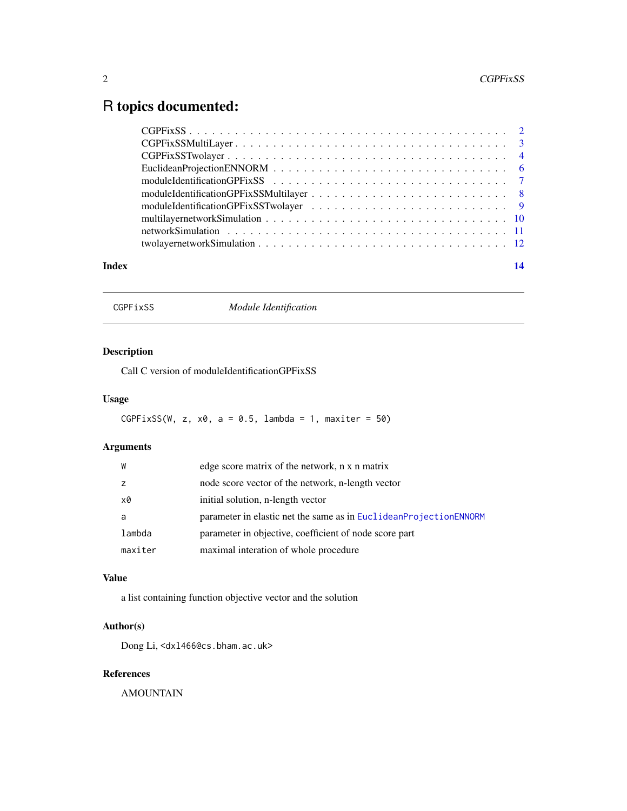## <span id="page-1-0"></span>R topics documented:

#### **Index** 2008 **[14](#page-13-0)**

CGPFixSS *Module Identification*

## Description

Call C version of moduleIdentificationGPFixSS

## Usage

 $CGPFixSS(W, z, x0, a = 0.5, lambda = 1, maxiter = 50)$ 

## Arguments

| W       | edge score matrix of the network, n x n matrix                      |
|---------|---------------------------------------------------------------------|
| z       | node score vector of the network, n-length vector                   |
| x0      | initial solution, n-length vector                                   |
| a       | parameter in elastic net the same as in Euclidean Projection ENNORM |
| lambda  | parameter in objective, coefficient of node score part              |
| maxiter | maximal interation of whole procedure                               |

## Value

a list containing function objective vector and the solution

## Author(s)

Dong Li, <dxl466@cs.bham.ac.uk>

## References

AMOUNTAIN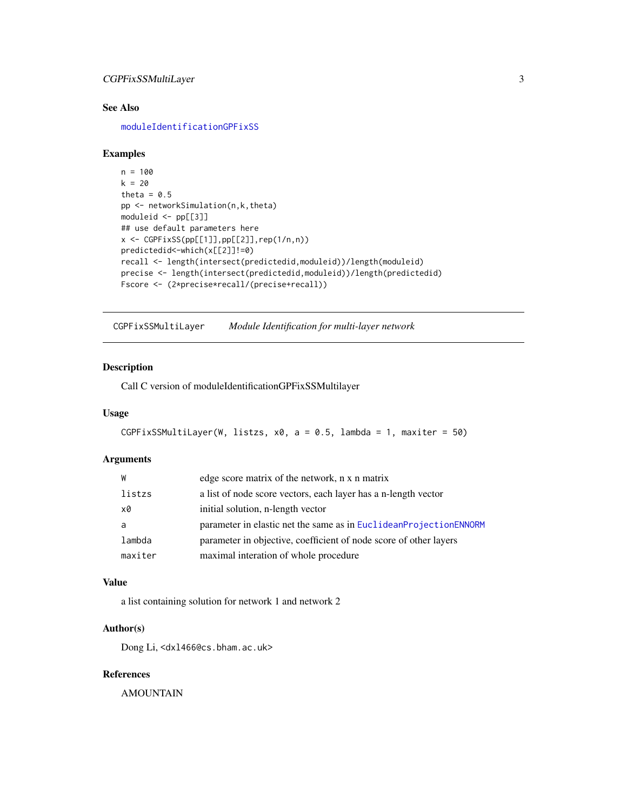## <span id="page-2-0"></span>CGPFixSSMultiLayer 3

## See Also

[moduleIdentificationGPFixSS](#page-6-1)

#### Examples

```
n = 100
k = 20theta = 0.5pp <- networkSimulation(n,k,theta)
moduleid <- pp[[3]]
## use default parameters here
x \leftarrow \text{CGPFixSS(pp[[1]], pp[[2]], rep(1/n,n))}predictedid<-which(x[[2]]!=0)
recall <- length(intersect(predictedid,moduleid))/length(moduleid)
precise <- length(intersect(predictedid,moduleid))/length(predictedid)
Fscore <- (2*precise*recall/(precise+recall))
```
CGPFixSSMultiLayer *Module Identification for multi-layer network*

#### Description

Call C version of moduleIdentificationGPFixSSMultilayer

#### Usage

```
CGPFixSSMultiLayer(W, listzs, x0, a = 0.5, lambda = 1, maxiter = 50)
```
#### Arguments

| W       | edge score matrix of the network, n x n matrix                    |
|---------|-------------------------------------------------------------------|
| listzs  | a list of node score vectors, each layer has a n-length vector    |
| x0      | initial solution, n-length vector                                 |
| a       | parameter in elastic net the same as in EuclideanProjectionENNORM |
| lambda  | parameter in objective, coefficient of node score of other layers |
| maxiter | maximal interation of whole procedure                             |

#### Value

a list containing solution for network 1 and network 2

## Author(s)

Dong Li, <dxl466@cs.bham.ac.uk>

## References

AMOUNTAIN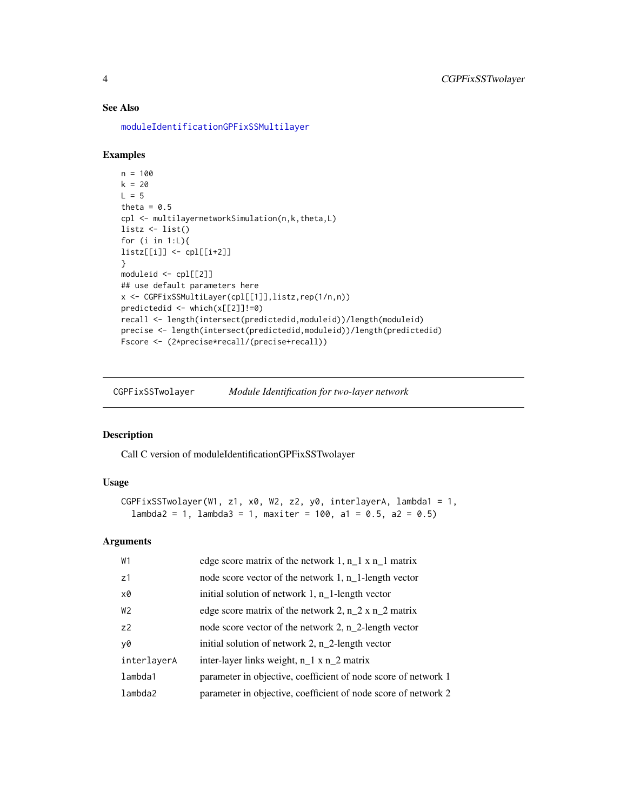## See Also

[moduleIdentificationGPFixSSMultilayer](#page-7-1)

### Examples

```
n = 100
k = 20L = 5theta = 0.5cpl <- multilayernetworkSimulation(n,k,theta,L)
listz <- list()
for (i \text{ in } 1:L){
listz[[i]] <- cpl[[i+2]]
}
moduleid <- cpl[[2]]
## use default parameters here
x <- CGPFixSSMultiLayer(cpl[[1]],listz,rep(1/n,n))
predictedid <- which(x[[2]]!=0)
recall <- length(intersect(predictedid,moduleid))/length(moduleid)
precise <- length(intersect(predictedid,moduleid))/length(predictedid)
Fscore <- (2*precise*recall/(precise+recall))
```
CGPFixSSTwolayer *Module Identification for two-layer network*

#### Description

Call C version of moduleIdentificationGPFixSSTwolayer

#### Usage

```
CGPFixSSTwolayer(W1, z1, x0, W2, z2, y0, interlayerA, lambda1 = 1,
  lambda2 = 1, lambda3 = 1, maxiter = 100, a1 = 0.5, a2 = 0.5)
```
#### Arguments

| W1             | edge score matrix of the network $1, n_1 x n_1$ matrix         |
|----------------|----------------------------------------------------------------|
| z1             | node score vector of the network 1, n_1-length vector          |
| x0             | initial solution of network 1, n_1-length vector               |
| W <sub>2</sub> | edge score matrix of the network 2, $n_2 x n_2$ matrix         |
| Z <sup>2</sup> | node score vector of the network 2, n 2-length vector          |
| y0             | initial solution of network 2, n_2-length vector               |
| interlayerA    | inter-layer links weight, n_1 x n_2 matrix                     |
| lambda1        | parameter in objective, coefficient of node score of network 1 |
| lambda2        | parameter in objective, coefficient of node score of network 2 |

<span id="page-3-0"></span>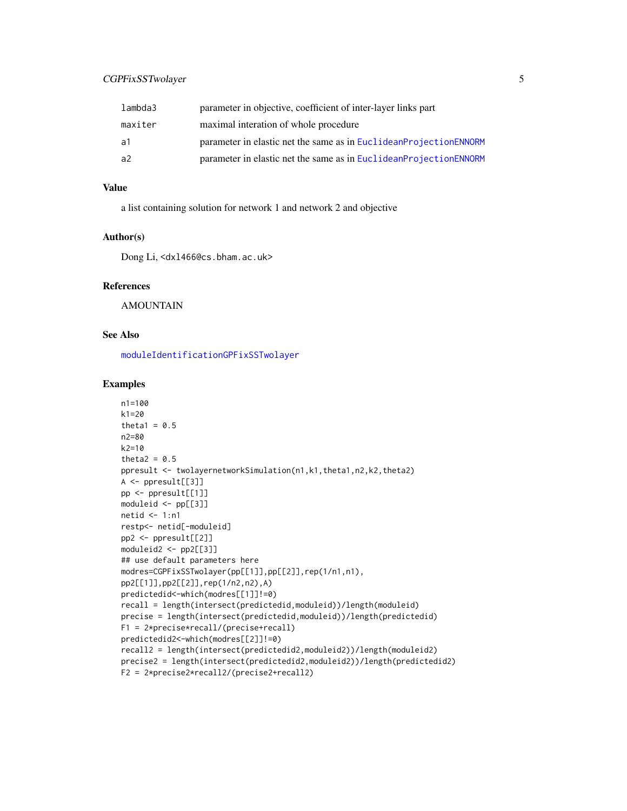## <span id="page-4-0"></span>CGPFixSSTwolayer 5

| lambda3        | parameter in objective, coefficient of inter-layer links part     |
|----------------|-------------------------------------------------------------------|
| maxiter        | maximal interation of whole procedure                             |
| a1             | parameter in elastic net the same as in EuclideanProjectionENNORM |
| a <sup>2</sup> | parameter in elastic net the same as in EuclideanProjectionENNORM |

## Value

a list containing solution for network 1 and network 2 and objective

#### Author(s)

Dong Li, <dxl466@cs.bham.ac.uk>

### References

AMOUNTAIN

### See Also

[moduleIdentificationGPFixSSTwolayer](#page-8-1)

```
n1=100
k1 = 20theta1 = 0.5n2=80
k2=10theta2 = 0.5ppresult <- twolayernetworkSimulation(n1,k1,theta1,n2,k2,theta2)
A <- ppresult[[3]]
pp <- ppresult[[1]]
moduleid <- pp[[3]]
netid \leq -1:n1
restp<- netid[-moduleid]
pp2 <- ppresult[[2]]
moduleid2 \leftarrow pp2[3]]
## use default parameters here
modres=CGPFixSSTwolayer(pp[[1]],pp[[2]],rep(1/n1,n1),
pp2[[1]],pp2[[2]],rep(1/n2,n2),A)
predictedid<-which(modres[[1]]!=0)
recall = length(intersect(predictedid,moduleid))/length(moduleid)
precise = length(intersect(predictedid,moduleid))/length(predictedid)
F1 = 2*precise*recall/(precise+recall)
predictedid2<-which(modres[[2]]!=0)
recall2 = length(intersect(predictedid2,moduleid2))/length(moduleid2)
precise2 = length(intersect(predictedid2,moduleid2))/length(predictedid2)
F2 = 2*precise2*recall2/(precise2+recall2)
```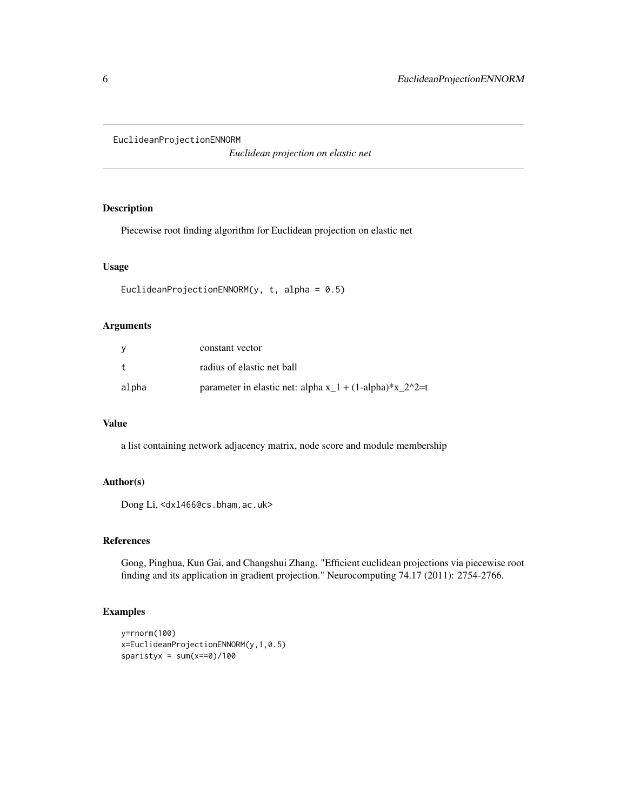<span id="page-5-1"></span><span id="page-5-0"></span>EuclideanProjectionENNORM

*Euclidean projection on elastic net*

### Description

Piecewise root finding algorithm for Euclidean projection on elastic net

### Usage

```
EuclideanProjectionENNORM(y, t, alpha = 0.5)
```
## Arguments

| У     | constant vector                                           |
|-------|-----------------------------------------------------------|
| t.    | radius of elastic net ball                                |
| alpha | parameter in elastic net: alpha $x_1 + (1-a1pha)*x_2^2=1$ |

#### Value

a list containing network adjacency matrix, node score and module membership

## Author(s)

Dong Li, <dxl466@cs.bham.ac.uk>

#### References

Gong, Pinghua, Kun Gai, and Changshui Zhang. "Efficient euclidean projections via piecewise root finding and its application in gradient projection." Neurocomputing 74.17 (2011): 2754-2766.

```
y=rnorm(100)
x=EuclideanProjectionENNORM(y,1,0.5)
sparsityx = sum(x == 0) / 100
```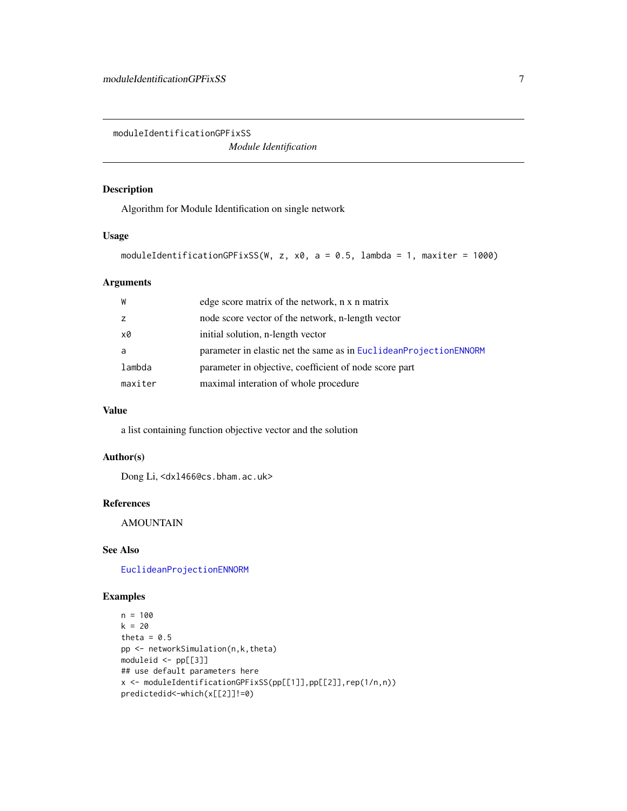<span id="page-6-1"></span><span id="page-6-0"></span>moduleIdentificationGPFixSS

*Module Identification*

#### Description

Algorithm for Module Identification on single network

## Usage

```
moduleIdentificationGPFixSS(W, z, x0, a = 0.5, lambda = 1, maxiter = 1000)
```
## Arguments

| W       | edge score matrix of the network, n x n matrix                      |
|---------|---------------------------------------------------------------------|
| z       | node score vector of the network, n-length vector                   |
| x0      | initial solution, n-length vector                                   |
| a       | parameter in elastic net the same as in Euclidean Projection ENNORM |
| lambda  | parameter in objective, coefficient of node score part              |
| maxiter | maximal interation of whole procedure                               |

## Value

a list containing function objective vector and the solution

## Author(s)

Dong Li, <dxl466@cs.bham.ac.uk>

#### References

AMOUNTAIN

#### See Also

[EuclideanProjectionENNORM](#page-5-1)

```
n = 100k = 20theta = 0.5pp <- networkSimulation(n,k,theta)
moduleid <- pp[[3]]
## use default parameters here
x <- moduleIdentificationGPFixSS(pp[[1]],pp[[2]],rep(1/n,n))
predictedid<-which(x[[2]]!=0)
```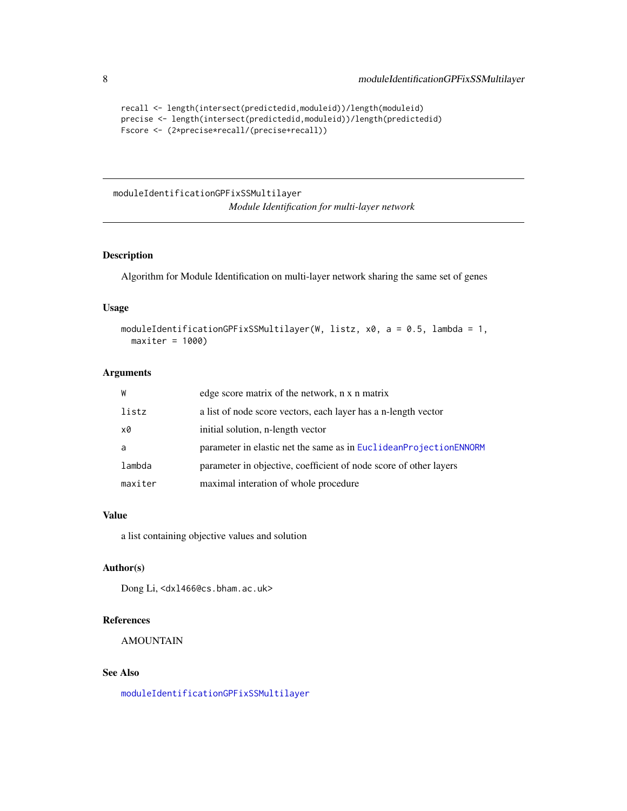```
recall <- length(intersect(predictedid,moduleid))/length(moduleid)
precise <- length(intersect(predictedid,moduleid))/length(predictedid)
Fscore <- (2*precise*recall/(precise+recall))
```
<span id="page-7-1"></span>moduleIdentificationGPFixSSMultilayer *Module Identification for multi-layer network*

## Description

Algorithm for Module Identification on multi-layer network sharing the same set of genes

#### Usage

```
moduleIdentificationGPFixSSMultilayer(W, listz, x0, a = 0.5, lambda = 1,
  maxiter = 1000
```
## Arguments

| W       | edge score matrix of the network, n x n matrix                    |
|---------|-------------------------------------------------------------------|
| listz   | a list of node score vectors, each layer has a n-length vector    |
| x0      | initial solution, n-length vector                                 |
| a       | parameter in elastic net the same as in EuclideanProjectionENNORM |
| lambda  | parameter in objective, coefficient of node score of other layers |
| maxiter | maximal interation of whole procedure                             |

#### Value

a list containing objective values and solution

#### Author(s)

Dong Li, <dxl466@cs.bham.ac.uk>

### References

AMOUNTAIN

### See Also

[moduleIdentificationGPFixSSMultilayer](#page-7-1)

<span id="page-7-0"></span>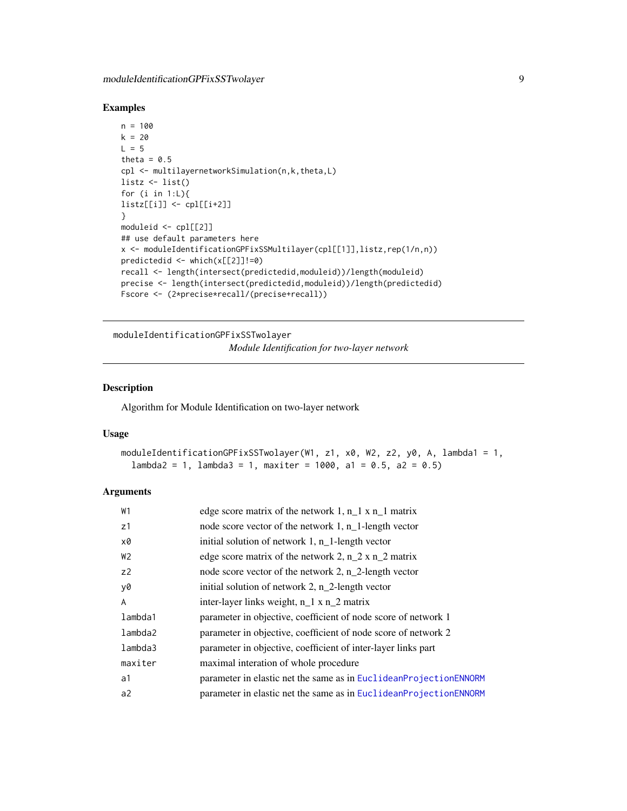#### <span id="page-8-0"></span>Examples

```
n = 100
k = 20L = 5theta = 0.5cpl <- multilayernetworkSimulation(n,k,theta,L)
listz <- list()
for (i in 1:L){
listz[[i]] <- cpl[[i+2]]
}
moduleid <- cpl[[2]]
## use default parameters here
x <- moduleIdentificationGPFixSSMultilayer(cpl[[1]],listz,rep(1/n,n))
predictedid <- which(x[[2]]!=0)
recall <- length(intersect(predictedid,moduleid))/length(moduleid)
precise <- length(intersect(predictedid,moduleid))/length(predictedid)
Fscore <- (2*precise*recall/(precise+recall))
```
<span id="page-8-1"></span>moduleIdentificationGPFixSSTwolayer

*Module Identification for two-layer network*

#### Description

Algorithm for Module Identification on two-layer network

#### Usage

```
moduleIdentificationGPFixSSTwolayer(W1, z1, x0, W2, z2, y0, A, lambda1 = 1,
  lambda2 = 1, lambda3 = 1, maxiter = 1000, a1 = 0.5, a2 = 0.5)
```
#### Arguments

| W1             | edge score matrix of the network $1, n_1 x n_1$ matrix              |
|----------------|---------------------------------------------------------------------|
| z1             | node score vector of the network 1, n_1-length vector               |
| x0             | initial solution of network 1, n_1-length vector                    |
| W2             | edge score matrix of the network 2, $n_2 x n_2$ matrix              |
| Z <sup>2</sup> | node score vector of the network 2, n_2-length vector               |
| y0             | initial solution of network 2, n 2-length vector                    |
| A              | inter-layer links weight, n_1 x n_2 matrix                          |
| lambda1        | parameter in objective, coefficient of node score of network 1      |
| lambda2        | parameter in objective, coefficient of node score of network 2      |
| lambda3        | parameter in objective, coefficient of inter-layer links part       |
| maxiter        | maximal interation of whole procedure                               |
| a1             | parameter in elastic net the same as in EuclideanProjectionENNORM   |
| a2             | parameter in elastic net the same as in Euclidean Projection ENNORM |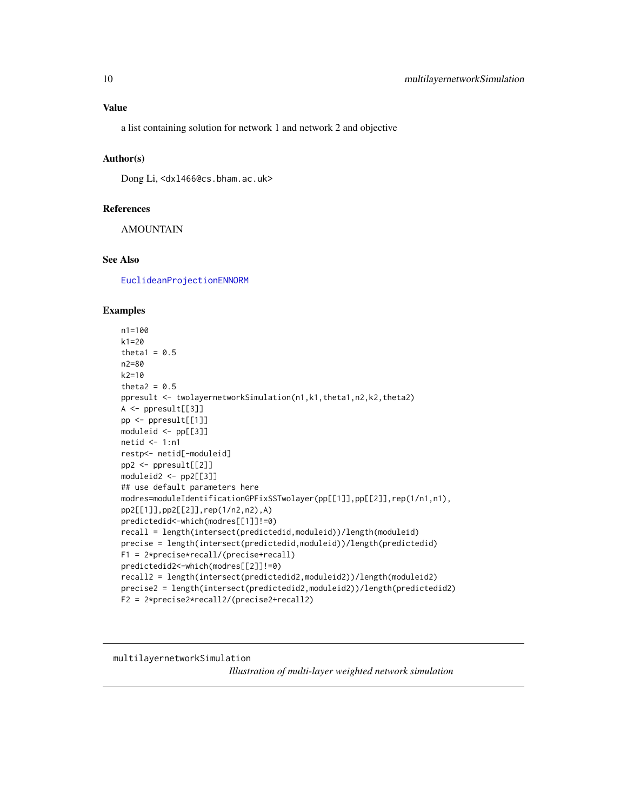## <span id="page-9-0"></span>Value

a list containing solution for network 1 and network 2 and objective

#### Author(s)

Dong Li, <dxl466@cs.bham.ac.uk>

## References

AMOUNTAIN

### See Also

[EuclideanProjectionENNORM](#page-5-1)

#### Examples

```
n1=100
k1 = 20theta1 = 0.5n2=80
k^2=10
theta2 = 0.5ppresult <- twolayernetworkSimulation(n1,k1,theta1,n2,k2,theta2)
A <- ppresult[[3]]
pp <- ppresult[[1]]
moduleid <- pp[[3]]
netid <-1:n1restp<- netid[-moduleid]
pp2 <- ppresult[[2]]
moduleid2 <- pp2[[3]]
## use default parameters here
modres=moduleIdentificationGPFixSSTwolayer(pp[[1]],pp[[2]],rep(1/n1,n1),
pp2[[1]],pp2[[2]],rep(1/n2,n2),A)
predictedid<-which(modres[[1]]!=0)
recall = length(intersect(predictedid,moduleid))/length(moduleid)
precise = length(intersect(predictedid,moduleid))/length(predictedid)
F1 = 2*precise*recall/(precise+recall)
predictedid2<-which(modres[[2]]!=0)
recall2 = length(intersect(predictedid2,moduleid2))/length(moduleid2)
precise2 = length(intersect(predictedid2,moduleid2))/length(predictedid2)
F2 = 2*precise2*recall2/(precise2+recall2)
```
## multilayernetworkSimulation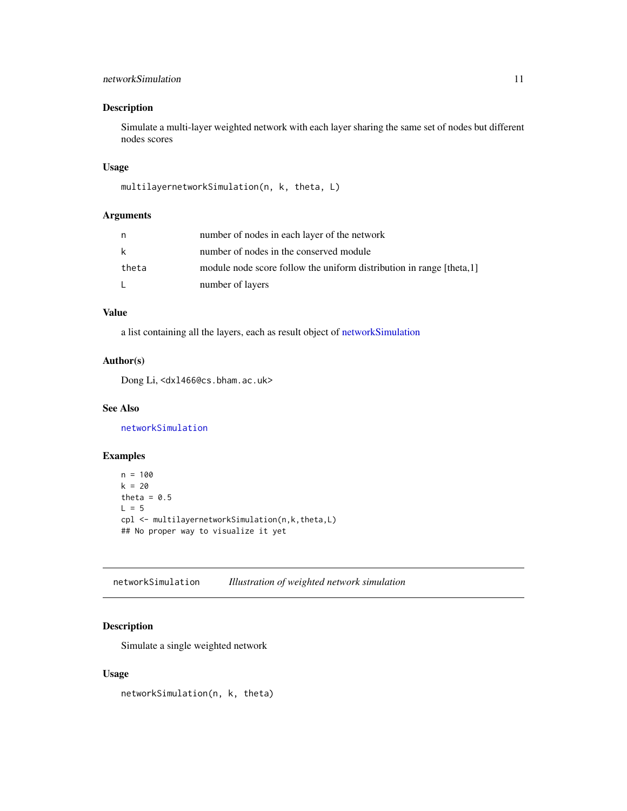#### <span id="page-10-0"></span>networkSimulation 11

#### Description

Simulate a multi-layer weighted network with each layer sharing the same set of nodes but different nodes scores

#### Usage

```
multilayernetworkSimulation(n, k, theta, L)
```
#### Arguments

| n     | number of nodes in each layer of the network                          |
|-------|-----------------------------------------------------------------------|
| k     | number of nodes in the conserved module                               |
| theta | module node score follow the uniform distribution in range [theta, 1] |
| L     | number of layers                                                      |

## Value

a list containing all the layers, each as result object of [networkSimulation](#page-10-1)

## Author(s)

Dong Li, <dxl466@cs.bham.ac.uk>

#### See Also

[networkSimulation](#page-10-1)

## Examples

```
n = 100k = 20theta = 0.5L = 5cpl <- multilayernetworkSimulation(n,k,theta,L)
## No proper way to visualize it yet
```
<span id="page-10-1"></span>networkSimulation *Illustration of weighted network simulation*

## Description

Simulate a single weighted network

## Usage

networkSimulation(n, k, theta)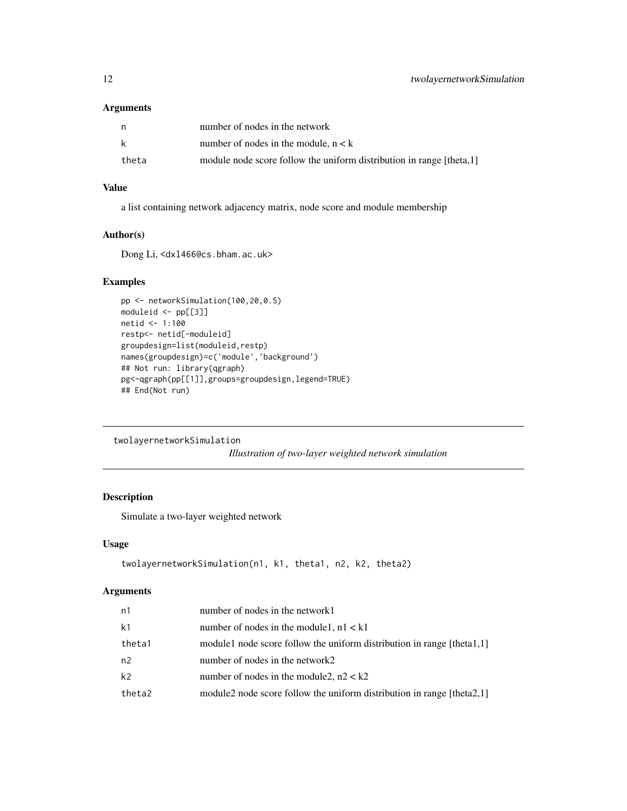### <span id="page-11-0"></span>Arguments

| n     | number of nodes in the network                                        |
|-------|-----------------------------------------------------------------------|
| k     | number of nodes in the module, $n < k$                                |
| theta | module node score follow the uniform distribution in range [theta, 1] |

## Value

a list containing network adjacency matrix, node score and module membership

#### Author(s)

Dong Li, <dxl466@cs.bham.ac.uk>

#### Examples

```
pp <- networkSimulation(100,20,0.5)
moduleid <- pp[[3]]
netid <- 1:100
restp<- netid[-moduleid]
groupdesign=list(moduleid,restp)
names(groupdesign)=c('module','background')
## Not run: library(qgraph)
pg<-qgraph(pp[[1]],groups=groupdesign,legend=TRUE)
## End(Not run)
```
twolayernetworkSimulation *Illustration of two-layer weighted network simulation*

## Description

Simulate a two-layer weighted network

#### Usage

```
twolayernetworkSimulation(n1, k1, theta1, n2, k2, theta2)
```
## Arguments

| n1             | number of nodes in the network1                                             |
|----------------|-----------------------------------------------------------------------------|
| k1             | number of nodes in the module1, $nl < k1$                                   |
| theta1         | module1 node score follow the uniform distribution in range [theta1,1]      |
| n2             | number of nodes in the network2                                             |
| k <sub>2</sub> | number of nodes in the module 2, $n2 < k2$                                  |
| theta2         | module 2 node score follow the uniform distribution in range [theta $2,1$ ] |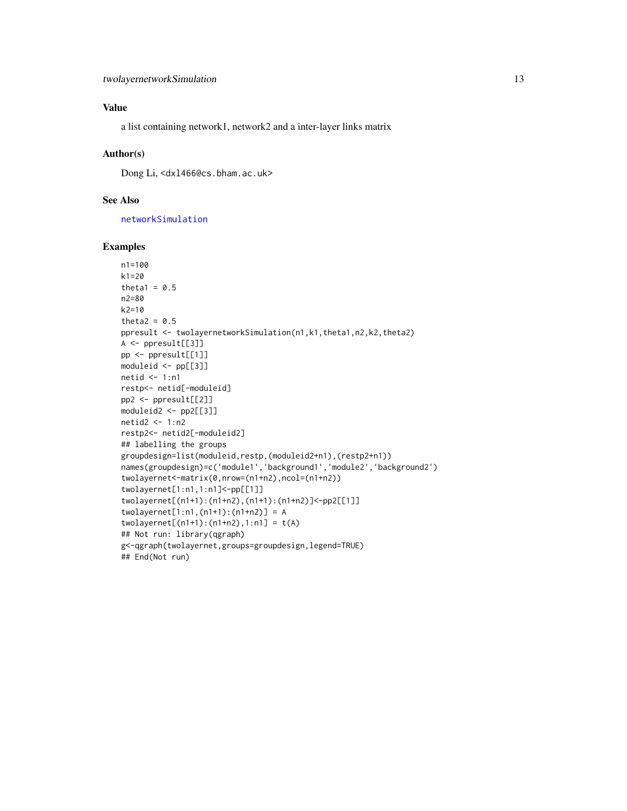## <span id="page-12-0"></span>Value

a list containing network1, network2 and a inter-layer links matrix

#### Author(s)

Dong Li, <dxl466@cs.bham.ac.uk>

#### See Also

[networkSimulation](#page-10-1)

```
n1=100
k1=20
theta1 = 0.5n2=80
k2=10
theta2 = 0.5ppresult <- twolayernetworkSimulation(n1,k1,theta1,n2,k2,theta2)
A <- ppresult[[3]]
pp <- ppresult[[1]]
moduleid <- pp[[3]]
netid < -1:n1restp<- netid[-moduleid]
pp2 <- ppresult[[2]]
moduleid2 <- pp2[[3]]
netid2 <- 1:n2
restp2<- netid2[-moduleid2]
## labelling the groups
groupdesign=list(moduleid,restp,(moduleid2+n1),(restp2+n1))
names(groupdesign)=c('module1','background1','module2','background2')
twolayernet<-matrix(0,nrow=(n1+n2),ncol=(n1+n2))
twolayernet[1:n1,1:n1]<-pp[[1]]
twolayernet[(n1+1):(n1+n2),(n1+1):(n1+n2)]<-pp2[[1]]
twolayernet[1:n1,(n1+1):(n1+n2)] = A
twolayernet[(n1+1):(n1+n2),1:n1] = t(A)
## Not run: library(qgraph)
g<-qgraph(twolayernet,groups=groupdesign,legend=TRUE)
## End(Not run)
```